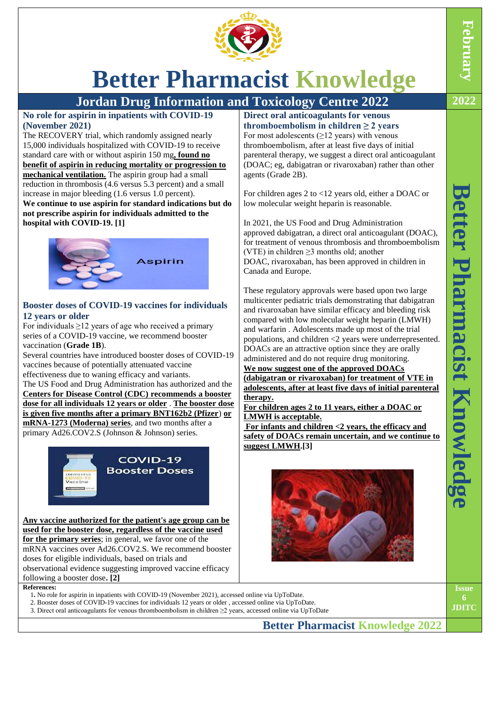

## **Better Pharmacist Knowledge**

agents [\(Grade 2B\)](https://www.uptodate.com/contents/grade/5?title=Grade%202B&topicKey=PCU/16722).

Canada and Europe.

**therapy.** 

**LMWH is acceptable.**

**suggest LMWH.[3]**

**Direct oral anticoagulants for venous thromboembolism in children ≥ 2 years** For most adolescents  $(≥12$  years) with venous thromboembolism, after at least five days of initial parenteral therapy, we suggest a direct oral anticoagulant (DOAC; eg, [dabigatran](https://www.uptodate.com/contents/dabigatran-drug-information?topicRef=16722&source=see_link) or [rivaroxaban\)](https://www.uptodate.com/contents/rivaroxaban-drug-information?topicRef=16722&source=see_link) rather than other

low molecular weight heparin is reasonable.

(VTE) in children  $\geq$ 3 months old; another

In 2021, the US Food and Drug Administration

For children ages 2 to <12 years old, either a DOAC or

approved [dabigatran,](https://www.uptodate.com/contents/dabigatran-drug-information?topicRef=16722&source=see_link) a direct oral anticoagulant (DOAC), for treatment of venous thrombosis and thromboembolism

DOAC, [rivaroxaban,](https://www.uptodate.com/contents/rivaroxaban-drug-information?topicRef=16722&source=see_link) has been approved in children in

These regulatory approvals were based upon two large multicenter pediatric trials demonstrating that dabigatran and rivaroxaban have similar efficacy and bleeding risk compared with low molecular weight heparin (LMWH) and [warfarin](https://www.uptodate.com/contents/warfarin-drug-information?topicRef=16722&source=see_link) . Adolescents made up most of the trial populations, and children <2 years were underrepresented. DOACs are an attractive option since they are orally administered and do not require drug monitoring. **We now suggest one of the approved DOACs** 

**(dabigatran or rivaroxaban) for treatment of VTE in adolescents, after at least five days of initial parenteral** 

**For children ages 2 to 11 years, either a DOAC or** 

**For infants and children <2 years, the efficacy and safety of DOACs remain uncertain, and we continue to** 

**Jordan Drug Information and Toxicology Centre 2022 2022**

**No role for aspirin in inpatients with COVID-19 (November 2021)**

The RECOVERY trial, which randomly assigned nearly 15,000 individuals hospitalized with COVID-19 to receive standard care with or without [aspirin](https://www.uptodate.com/contents/aspirin-drug-information?topicRef=15664&source=see_link) 150 mg**, found no benefit of aspirin in reducing mortality or progression to mechanical ventilation.** The aspirin group had a small reduction in thrombosis (4.6 versus 5.3 percent) and a small increase in major bleeding (1.6 versus 1.0 percent). **We continue to use aspirin for standard indications but do not prescribe aspirin for individuals admitted to the** 

**hospital with COVID-19. [1]**



#### **Booster doses of COVID-19 vaccines for individuals 12 years or older**

For individuals  $\geq$ 12 years of age who received a primary series of a COVID-19 vaccine, we recommend booster vaccination (**[Grade 1B](https://www.uptodate.com/contents/grade/2?title=Grade%201B&topicKey=PCU/16722)**).

Several countries have introduced booster doses of COVID-19 vaccines because of potentially attenuated vaccine effectiveness due to waning efficacy and variants.

The US Food and Drug Administration has authorized and the **Centers for Disease Control (CDC) recommends a booster dose for all individuals 12 years or older** . **The booster dose is given five months after a primary BNT162b2 (Pfizer**) **or mRNA-1273 (Moderna) series**, and two months after a primary Ad26.COV2.S (Johnson & Johnson) series.



**Any vaccine authorized for the patient's age group can be used for the booster dose, regardless of the vaccine used for the primary series**; in general, we favor one of the mRNA vaccines over Ad26.COV2.S. We recommend booster doses for eligible individuals, based on trials and observational evidence suggesting improved vaccine efficacy following a booster dose**. [2]**

#### **References:**

1**.** No role for aspirin in inpatients with COVID-19 (November 2021), accessed online via UpToDate.

- 2. Booster doses of COVID-19 vaccines for individuals 12 years or older , accessed online via UpToDate.
- 3. Direct oral anticoagulants for venous thromboembolism in children ≥2 years, accessed online via UpToDate

**Better Pharmacist Knowledge 2022**

**Better Pharmacist** Better Pharmacist Knowledg **Knowledge**

**Issue**

**JDITC**